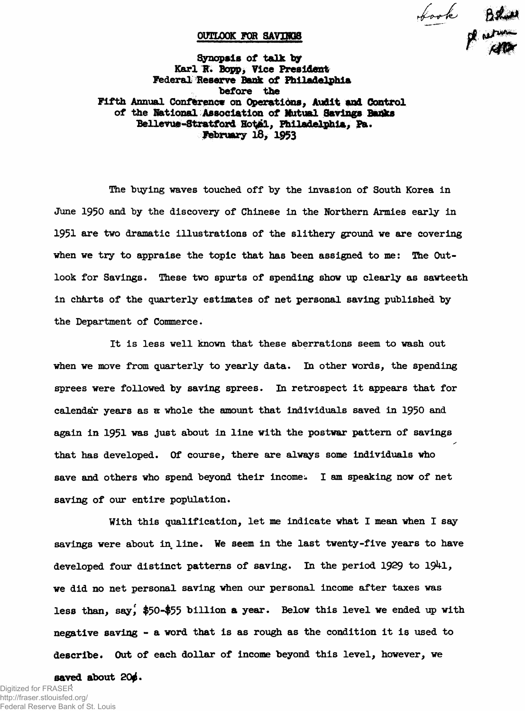## OUTLOOK FOR SAVINGS

took Bother Synopsis of talk by Karl R. Bopp, Vice President Federal Reserve Bank of Philadelphia before the Fifth Annual Confèrence on Operatidns, Audit and Control of **the** National Association of Mutual Savings Barths Bellevue-Stratford Hotal, Philadelphia, Pa. February lB, 1953

**The buying waves touched off by the invasion of South Korea in June 1950 and by the discovery of Chinese in the Northern Armies early in** 1951 **are two dramatic illustrations of the slithery ground we are covering when we try to appraise the topic that has been assigned to me: The Outlook for Savings. These two spurts of spending show up clearly as sawteeth** in charts of the quarterly estimates of net personal saving published by **the Department of Commerce.**

**It is less well known that these aberrations seem to wash out when we move from quarterly to yearly data. In other words, the spending sprees were followed by saving sprees. In retrospect it appears that for calendar years as a whole the amount that individuals saved in** 1950 **and again in** 1951 **was just about in line with the postwar pattern of savings that has developed. Of course, there are always some individuals who save and others who spend beyond their incomes I am speaking now of net saving of our entire population.**

**With this qualification, let me indicate what I mean when I say savings were about in line. We seem in the last twenty-five years to have** developed four distinct patterns of saving. In the period 1929 to 1941, **we did no net personal saving when our personal income after taxes was less than, say," \$50-\$55 billion a year. Below this level we ended up with negative saving - a word that is as rough as the condition it is used to describe. Out of each dollar of income beyond this level, however, we**

**saved about** 20**^.**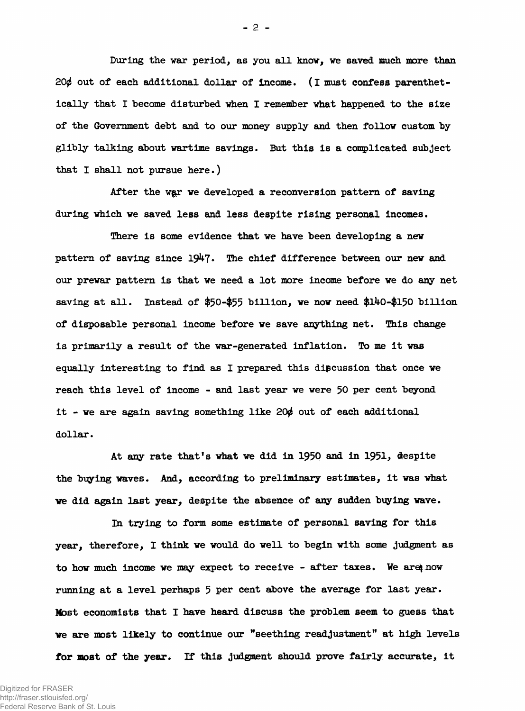**During the war period, as you all know, we saved much more than** 20**^ out of each additional dollar of Income. (I must confess parenthetically that I become disturbed when I remember what happened to the size of the Government debt and to our money supply and then follow custom by glibly talking about wartime savings. But this is a complicated subject that I shall not pursue here.)**

After the war we developed a reconversion pattern of saving **during which we saved less and less despite rising personal incomes.**

**There is some evidence that we have been developing a new pattern of saving since 19^7\* The chief difference between our new and our prewar pattern is that we need a lot more income before we do any net** saving at all. Instead of \$50-\$55 billion, we now need \$140-\$150 billion **of disposable personal income before we save anything net. This change is primarily a result of the war-generated inflation. To me it was equally interesting to find as I prepared this discussion that once we reach this level of income - and last year we were** 50 **per cent beyond it - we are again saving something like** 2**C\$ out of each additional dollar.**

At any rate that's what we did in 1950 and in 1951, despite **the buying waves. And, according to preliminary estimates, it was what we did again last year, despite the absence of any sudden buying wave.**

**In trying to form some estimate of personal saving for this year, therefore, I think we would do well to begin with some judgment as** to how much income we may expect to receive - after taxes. We are now **running at a level perhaps** 5 **per cent above the average for last year. Most economists that I have heard discuss the problem seem to guess that ire are most likely to continue our "seething readjustment" at high levels for most of the year. If this judgment should prove fairly accurate, it**

**- 2 -**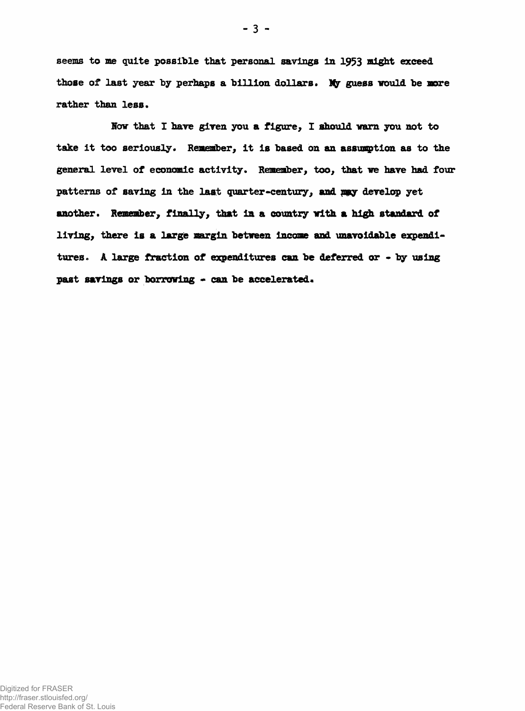**seems to me quite possible that personal savings in 1953 night exceed those of last year by perhaps a billion dollars\*** *Hfy* **guess would be more rather than less.**

**Now that X have given you a figure, I should warn you not to take it too seriously. Remember, it is based on an assumption as to the general level of economic activity. Remember, too, that we have had four patterns of saving in the last quarter -century, and ppy develop yet another. Remember, finally, that la a country with** a **high standard of living, there is a large margin between income and unavoidable expend!** tures. A large fraction of expenditures can be deferred or - by using **past savings or borrowing - can be accelerated.**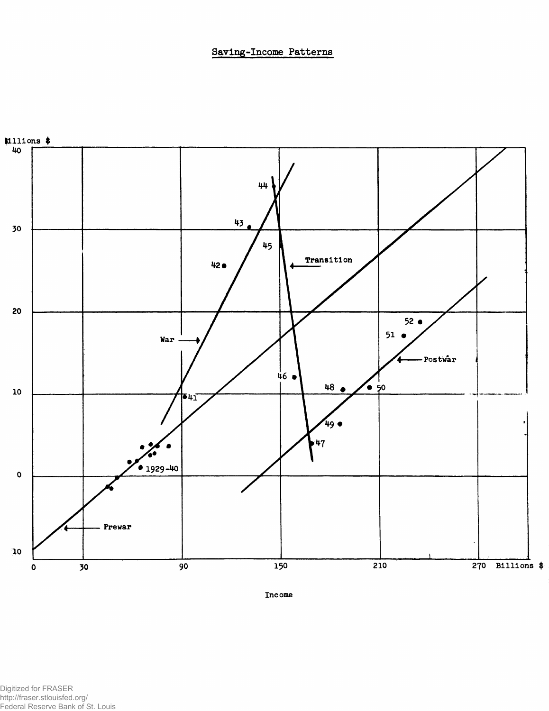

**Income**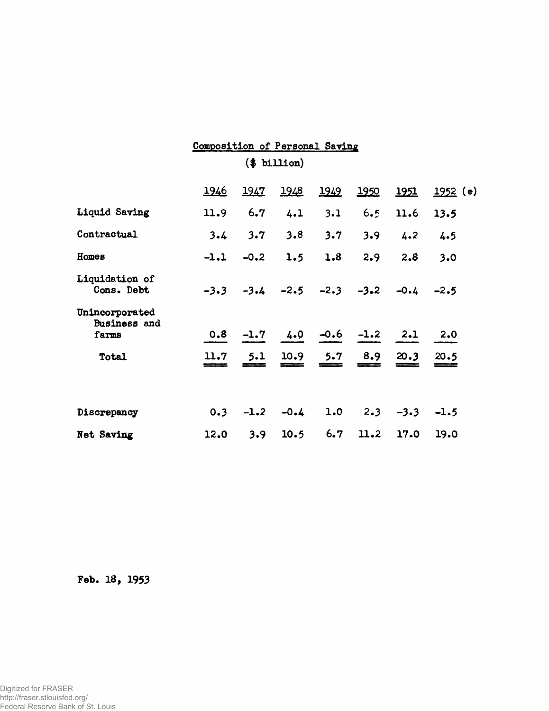| $($$ billion $)$                        |               |             |                                                  |      |                     |                     |                 |  |  |  |  |  |
|-----------------------------------------|---------------|-------------|--------------------------------------------------|------|---------------------|---------------------|-----------------|--|--|--|--|--|
|                                         | <u> 1946 </u> | 1947        | 1948                                             | 1949 | 1950                | <u> 1951 </u>       | <u>1952</u> (e) |  |  |  |  |  |
| Liquid Saving                           | 11.9          | 6.7         | 4.1                                              | 3.1  | $6.5 -$             | 11.6                | 13.5            |  |  |  |  |  |
| Contractual                             | 3.4           | 3.7         | 3.8                                              | 3.7  | 3.9                 | 4.2                 | 4.5             |  |  |  |  |  |
| Homes                                   | $-1.1$        | $-0.2$      | $1.5 -$                                          | 1.8  | 2.9                 | 2.8                 | 3.0             |  |  |  |  |  |
| Liquidation of<br>Cons. Debt            |               |             | $-3.3$ $-3.4$ $-2.5$ $-2.3$ $-3.2$ $-0.4$ $-2.5$ |      |                     |                     |                 |  |  |  |  |  |
| Unincorporated<br>Business and<br>farms | 0.8           | $-1.7$      | 4.0                                              |      | $-0.6$ $-1.2$ $2.1$ |                     | 2.0             |  |  |  |  |  |
| Total                                   | 11.7          | 5.1         | 10.9                                             | 5.7  |                     | $8.9$ $20.3$ $20.5$ |                 |  |  |  |  |  |
|                                         |               |             |                                                  |      |                     |                     |                 |  |  |  |  |  |
| Discrepancy                             | 0.3           | $-1.2 -0.4$ |                                                  | 1.0  | 2.3                 | $-3.3$              | $-1.5$          |  |  |  |  |  |
| Net Saving                              | 12.0          | 3.9         | 10.5                                             | 6.7  | 11.2                | 17.0                | 19.0            |  |  |  |  |  |

Composition of Personal Saving

Feb. 18, 1953